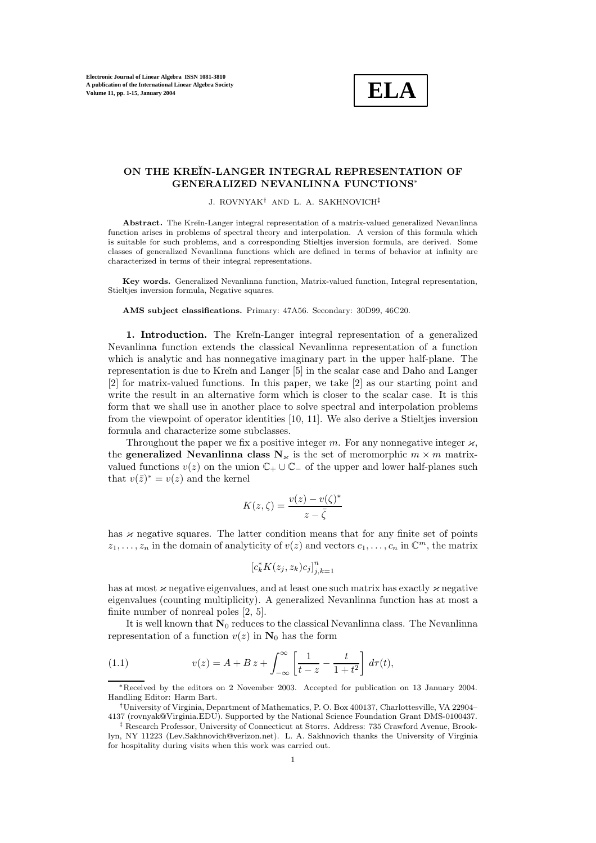

## **ON THE KRE˘IN-LANGER INTEGRAL REPRESENTATION OF GENERALIZED NEVANLINNA FUNCTIONS**∗

J. ROVNYAK† AND L. A. SAKHNOVICH‡

Abstract. The Kreĭn-Langer integral representation of a matrix-valued generalized Nevanlinna function arises in problems of spectral theory and interpolation. A version of this formula which is suitable for such problems, and a corresponding Stieltjes inversion formula, are derived. Some classes of generalized Nevanlinna functions which are defined in terms of behavior at infinity are characterized in terms of their integral representations.

**Key words.** Generalized Nevanlinna function, Matrix-valued function, Integral representation, Stieltjes inversion formula, Negative squares.

#### **AMS subject classifications.** Primary: 47A56. Secondary: 30D99, 46C20.

**1. Introduction.** The Kreĭn-Langer integral representation of a generalized Nevanlinna function extends the classical Nevanlinna representation of a function which is analytic and has nonnegative imaginary part in the upper half-plane. The representation is due to Kreĭn and Langer [5] in the scalar case and Daho and Langer [2] for matrix-valued functions. In this paper, we take [2] as our starting point and write the result in an alternative form which is closer to the scalar case. It is this form that we shall use in another place to solve spectral and interpolation problems from the viewpoint of operator identities [10, 11]. We also derive a Stieltjes inversion formula and characterize some subclasses.

Throughout the paper we fix a positive integer m. For any nonnegative integer  $\varkappa$ , the **generalized Nevanlinna class**  $N_{\kappa}$  is the set of meromorphic  $m \times m$  matrixvalued functions  $v(z)$  on the union  $\mathbb{C}_+ \cup \mathbb{C}_-$  of the upper and lower half-planes such that  $v(\bar{z})^* = v(z)$  and the kernel

$$
K(z,\zeta) = \frac{v(z) - v(\zeta)^*}{z - \bar{\zeta}}
$$

has  $\varkappa$  negative squares. The latter condition means that for any finite set of points  $z_1,\ldots,z_n$  in the domain of analyticity of  $v(z)$  and vectors  $c_1,\ldots,c_n$  in  $\mathbb{C}^m$ , the matrix

$$
\left[c_k^* K(z_j, z_k)c_j\right]_{j,k=1}^n
$$

has at most  $\varkappa$  negative eigenvalues, and at least one such matrix has exactly  $\varkappa$  negative eigenvalues (counting multiplicity). A generalized Nevanlinna function has at most a finite number of nonreal poles [2, 5].

It is well known that  $N_0$  reduces to the classical Nevanlinna class. The Nevanlinna representation of a function  $v(z)$  in  $N_0$  has the form

(1.1) 
$$
v(z) = A + B z + \int_{-\infty}^{\infty} \left[ \frac{1}{t - z} - \frac{t}{1 + t^2} \right] d\tau(t),
$$

<sup>∗</sup>Received by the editors on 2 November 2003. Accepted for publication on 13 January 2004. Handling Editor: Harm Bart.

<sup>†</sup>University of Virginia, Department of Mathematics, P. O. Box 400137, Charlottesville, VA 22904– 4137 (rovnyak@Virginia.EDU). Supported by the National Science Foundation Grant DMS-0100437.

<sup>‡</sup> Research Professor, University of Connecticut at Storrs. Address: 735 Crawford Avenue, Brooklyn, NY 11223 (Lev.Sakhnovich@verizon.net). L. A. Sakhnovich thanks the University of Virginia for hospitality during visits when this work was carried out.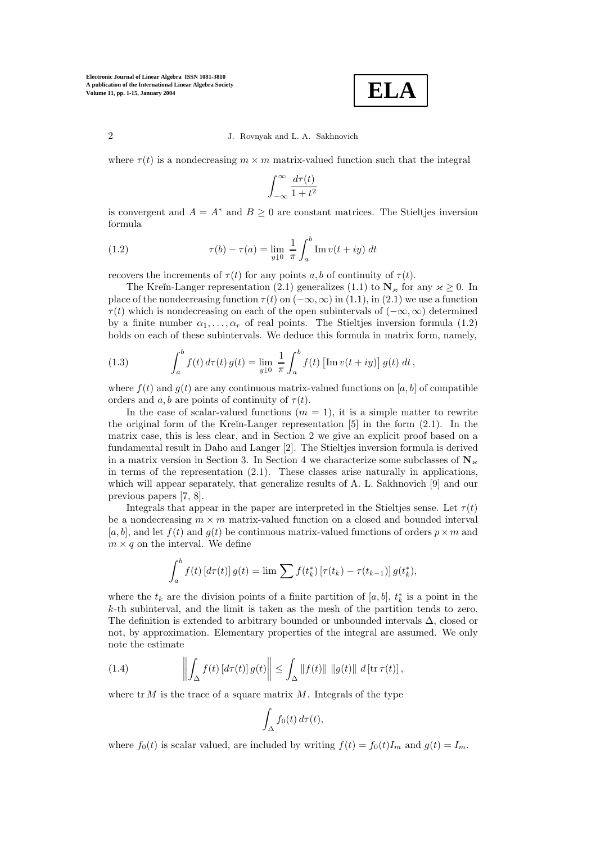**ELA**

where  $\tau(t)$  is a nondecreasing  $m \times m$  matrix-valued function such that the integral

$$
\int_{-\infty}^{\infty} \frac{d\tau(t)}{1+t^2}
$$

is convergent and  $A = A^*$  and  $B \geq 0$  are constant matrices. The Stieltjes inversion formula

(1.2) 
$$
\tau(b) - \tau(a) = \lim_{y \downarrow 0} \frac{1}{\pi} \int_{a}^{b} \text{Im } v(t + iy) dt
$$

recovers the increments of  $\tau(t)$  for any points a, b of continuity of  $\tau(t)$ .

The Kreĭn-Langer representation (2.1) generalizes (1.1) to  $N_{\kappa}$  for any  $\kappa \geq 0$ . In place of the nondecreasing function  $\tau(t)$  on  $(-\infty, \infty)$  in (1.1), in (2.1) we use a function  $\tau(t)$  which is nondecreasing on each of the open subintervals of  $(-\infty, \infty)$  determined by a finite number  $\alpha_1, \ldots, \alpha_r$  of real points. The Stieltjes inversion formula (1.2) holds on each of these subintervals. We deduce this formula in matrix form, namely,

(1.3) 
$$
\int_{a}^{b} f(t) d\tau(t) g(t) = \lim_{y \downarrow 0} \frac{1}{\pi} \int_{a}^{b} f(t) \left[ \text{Im} \, v(t + iy) \right] g(t) dt,
$$

where  $f(t)$  and  $g(t)$  are any continuous matrix-valued functions on [a, b] of compatible orders and  $a, b$  are points of continuity of  $\tau(t)$ .

In the case of scalar-valued functions  $(m = 1)$ , it is a simple matter to rewrite the original form of the Kreĭn-Langer representation  $[5]$  in the form  $(2.1)$ . In the matrix case, this is less clear, and in Section 2 we give an explicit proof based on a fundamental result in Daho and Langer [2]. The Stieltjes inversion formula is derived in a matrix version in Section 3. In Section 4 we characterize some subclasses of  $\mathbb{N}_{\varkappa}$ in terms of the representation  $(2.1)$ . These classes arise naturally in applications. which will appear separately, that generalize results of A. L. Sakhnovich [9] and our previous papers [7, 8].

Integrals that appear in the paper are interpreted in the Stieltjes sense. Let  $\tau(t)$ be a nondecreasing  $m \times m$  matrix-valued function on a closed and bounded interval [a, b], and let  $f(t)$  and  $g(t)$  be continuous matrix-valued functions of orders  $p \times m$  and  $m \times q$  on the interval. We define

$$
\int_{a}^{b} f(t) \left[ d\tau(t) \right] g(t) = \lim \sum f(t_{k}^{*}) \left[ \tau(t_{k}) - \tau(t_{k-1}) \right] g(t_{k}^{*}),
$$

where the  $t_k$  are the division points of a finite partition of [a, b],  $t_k^*$  is a point in the k-th subinterval, and the limit is taken as the mesh of the partition tends to zero. The definition is extended to arbitrary bounded or unbounded intervals ∆, closed or not, by approximation. Elementary properties of the integral are assumed. We only note the estimate

(1.4) 
$$
\left\| \int_{\Delta} f(t) \left[ d\tau(t) \right] g(t) \right\| \leq \int_{\Delta} ||f(t)|| \, ||g(t)|| \, d \left[ \operatorname{tr} \tau(t) \right],
$$

where  $tr M$  is the trace of a square matrix M. Integrals of the type

$$
\int_{\Delta} f_0(t) d\tau(t),
$$

where  $f_0(t)$  is scalar valued, are included by writing  $f(t) = f_0(t)I_m$  and  $g(t) = I_m$ .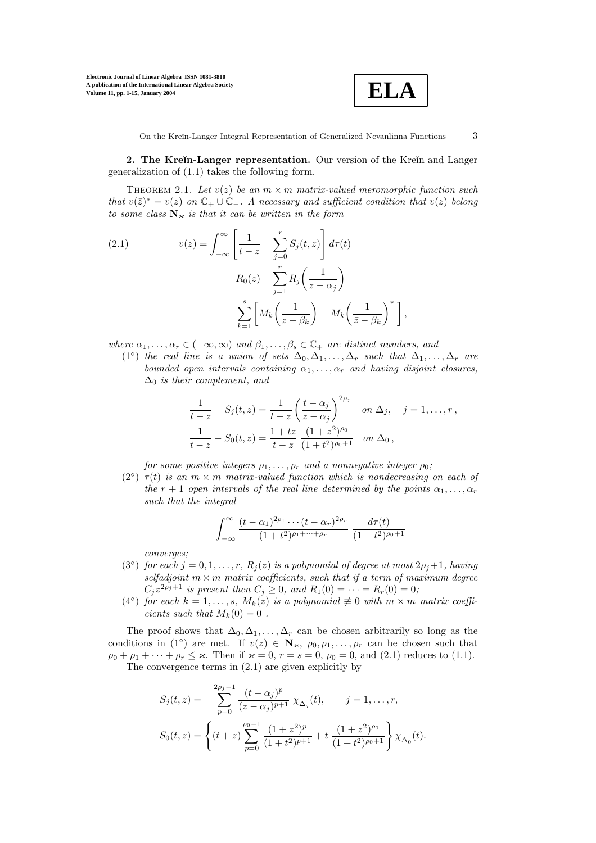

**2. The Kreĭn-Langer representation.** Our version of the Kreĭn and Langer generalization of (1.1) takes the following form.

THEOREM 2.1. Let  $v(z)$  be an  $m \times m$  matrix-valued meromorphic function such that  $v(\bar{z})^* = v(z)$  on  $\mathbb{C}_+ \cup \mathbb{C}_-$ . A necessary and sufficient condition that  $v(z)$  belong to some class  $N_k$  is that it can be written in the form

(2.1) 
$$
v(z) = \int_{-\infty}^{\infty} \left[ \frac{1}{t - z} - \sum_{j=0}^{r} S_j(t, z) \right] d\tau(t) + R_0(z) - \sum_{j=1}^{r} R_j \left( \frac{1}{z - \alpha_j} \right) - \sum_{k=1}^{s} \left[ M_k \left( \frac{1}{z - \beta_k} \right) + M_k \left( \frac{1}{\overline{z} - \beta_k} \right)^* \right],
$$

where  $\alpha_1,\ldots,\alpha_r\in(-\infty,\infty)$  and  $\beta_1,\ldots,\beta_s\in\mathbb{C}_+$  are distinct numbers, and

(1<sup>o</sup>) the real line is a union of sets  $\Delta_0, \Delta_1, \ldots, \Delta_r$  such that  $\Delta_1, \ldots, \Delta_r$  are bounded open intervals containing  $\alpha_1, \ldots, \alpha_r$  and having disjoint closures,  $\Delta_0$  is their complement, and

$$
\frac{1}{t-z} - S_j(t, z) = \frac{1}{t-z} \left(\frac{t-\alpha_j}{z-\alpha_j}\right)^{2\rho_j} \quad \text{on } \Delta_j, \quad j = 1, \dots, r,
$$
  

$$
\frac{1}{t-z} - S_0(t, z) = \frac{1+tz}{t-z} \frac{(1+z^2)^{\rho_0}}{(1+t^2)^{\rho_0+1}} \quad \text{on } \Delta_0,
$$

for some positive integers  $\rho_1, \ldots, \rho_r$  and a nonnegative integer  $\rho_0$ ;

 $(2<sup>°</sup>) \tau(t)$  is an  $m \times m$  matrix-valued function which is nondecreasing on each of the r + 1 open intervals of the real line determined by the points  $\alpha_1, \ldots, \alpha_r$ such that the integral

$$
\int_{-\infty}^{\infty} \frac{(t - \alpha_1)^{2\rho_1} \cdots (t - \alpha_r)^{2\rho_r}}{(1 + t^2)^{\rho_1 + \cdots + \rho_r}} \frac{d\tau(t)}{(1 + t^2)^{\rho_0 + 1}}
$$

converges;

- (3<sup>°</sup>) for each  $j = 0, 1, ..., r$ ,  $R_j(z)$  is a polynomial of degree at most  $2\rho_j + 1$ , having selfadjoint  $m \times m$  matrix coefficients, such that if a term of maximum degree  $C_j z^{2\rho_j+1}$  is present then  $C_j \ge 0$ , and  $R_1(0) = \cdots = R_r(0) = 0$ ;
- (4 $\degree$ ) for each  $k = 1, \ldots, s, M_k(z)$  is a polynomial  $\not\equiv 0$  with  $m \times m$  matrix coefficients such that  $M_k(0) = 0$ .

The proof shows that  $\Delta_0, \Delta_1, \ldots, \Delta_r$  can be chosen arbitrarily so long as the conditions in (1◦) are met. If  $v(z) \in \mathbb{N}_{\varkappa}, \rho_0, \rho_1, \ldots, \rho_r$  can be chosen such that  $\rho_0 + \rho_1 + \cdots + \rho_r \leq \varkappa$ . Then if  $\varkappa = 0$ ,  $r = s = 0$ ,  $\rho_0 = 0$ , and (2.1) reduces to (1.1). The convergence terms in (2.1) are given explicitly by

$$
S_j(t, z) = -\sum_{p=0}^{2\rho_j - 1} \frac{(t - \alpha_j)^p}{(z - \alpha_j)^{p+1}} \chi_{\Delta_j}(t), \qquad j = 1, \dots, r,
$$
  

$$
S_0(t, z) = \left\{ (t + z) \sum_{p=0}^{\rho_0 - 1} \frac{(1 + z^2)^p}{(1 + t^2)^{p+1}} + t \frac{(1 + z^2)^{\rho_0}}{(1 + t^2)^{\rho_0 + 1}} \right\} \chi_{\Delta_0}(t).
$$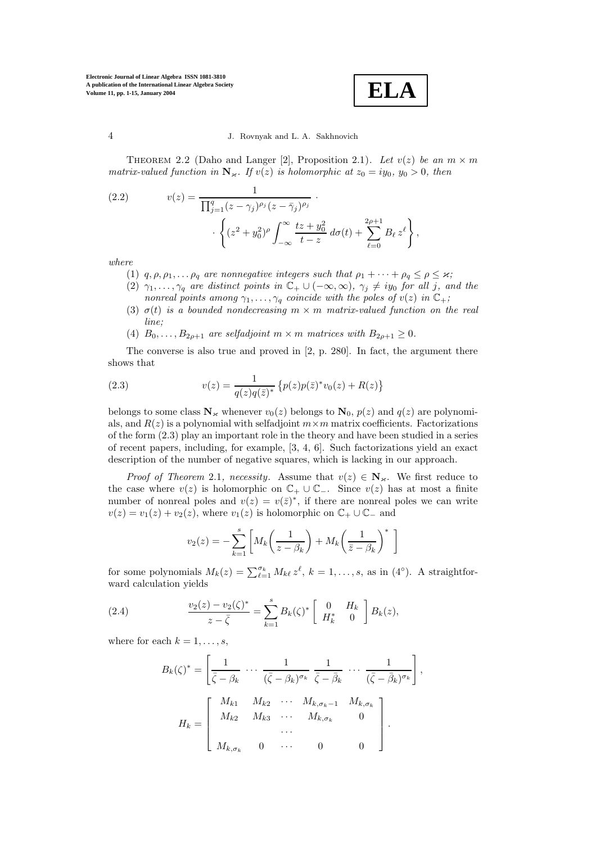**ELA**

THEOREM 2.2 (Daho and Langer [2], Proposition 2.1). Let  $v(z)$  be an  $m \times m$ matrix-valued function in  $\mathbb{N}_{\varkappa}$ . If  $v(z)$  is holomorphic at  $z_0 = iy_0$ ,  $y_0 > 0$ , then

(2.2) 
$$
v(z) = \frac{1}{\prod_{j=1}^{q} (z - \gamma_j)^{\rho_j} (z - \bar{\gamma}_j)^{\rho_j}} \cdot \left\{ (z^2 + y_0^2)^{\rho} \int_{-\infty}^{\infty} \frac{tz + y_0^2}{t - z} d\sigma(t) + \sum_{\ell=0}^{2\rho+1} B_\ell z^\ell \right\},
$$

where

- (1)  $q, \rho, \rho_1, \ldots, \rho_q$  are nonnegative integers such that  $\rho_1 + \cdots + \rho_q \leq \rho \leq \varkappa$ ;
- (2)  $\gamma_1,\ldots,\gamma_q$  are distinct points in  $\mathbb{C}_+ \cup (-\infty,\infty)$ ,  $\gamma_j \neq iy_0$  for all j, and the nonreal points among  $\gamma_1, \ldots, \gamma_q$  coincide with the poles of  $v(z)$  in  $\mathbb{C}_+$ ;
- (3)  $\sigma(t)$  is a bounded nondecreasing  $m \times m$  matrix-valued function on the real line;
- (4)  $B_0, \ldots, B_{2\rho+1}$  are selfadjoint  $m \times m$  matrices with  $B_{2\rho+1} \geq 0$ .

The converse is also true and proved in [2, p. 280]. In fact, the argument there shows that

(2.3) 
$$
v(z) = \frac{1}{q(z)q(\bar{z})^*} \left\{ p(z)p(\bar{z})^*v_0(z) + R(z) \right\}
$$

belongs to some class  $N_k$  whenever  $v_0(z)$  belongs to  $N_0$ ,  $p(z)$  and  $q(z)$  are polynomials, and  $R(z)$  is a polynomial with selfadjoint  $m \times m$  matrix coefficients. Factorizations of the form (2.3) play an important role in the theory and have been studied in a series of recent papers, including, for example, [3, 4, 6]. Such factorizations yield an exact description of the number of negative squares, which is lacking in our approach.

*Proof of Theorem 2.1, necessity.* Assume that  $v(z) \in N_{\kappa}$ . We first reduce to the case where  $v(z)$  is holomorphic on  $\mathbb{C}_+ \cup \mathbb{C}_-$ . Since  $v(z)$  has at most a finite number of nonreal poles and  $v(z) = v(\bar{z})^*$ , if there are nonreal poles we can write  $v(z) = v_1(z) + v_2(z)$ , where  $v_1(z)$  is holomorphic on  $\mathbb{C}_+ \cup \mathbb{C}_-$  and

$$
v_2(z) = -\sum_{k=1}^s \left[ M_k \left( \frac{1}{z - \beta_k} \right) + M_k \left( \frac{1}{\bar{z} - \beta_k} \right)^* \right]
$$

for some polynomials  $M_k(z) = \sum_{\ell=1}^{\sigma_k} M_{k\ell} z^{\ell}$ ,  $k = 1, \ldots, s$ , as in  $(4^{\circ})$ . A straightforward calculation yields

(2.4) 
$$
\frac{v_2(z) - v_2(\zeta)^*}{z - \bar{\zeta}} = \sum_{k=1}^s B_k(\zeta)^* \begin{bmatrix} 0 & H_k \\ H_k^* & 0 \end{bmatrix} B_k(z),
$$

where for each  $k = 1, \ldots, s$ ,

$$
B_k(\zeta)^* = \left[ \frac{1}{\bar{\zeta} - \beta_k} \cdots \frac{1}{(\bar{\zeta} - \beta_k)^{\sigma_k}} \frac{1}{\bar{\zeta} - \bar{\beta}_k} \cdots \frac{1}{(\bar{\zeta} - \bar{\beta}_k)^{\sigma_k}} \right]
$$

$$
H_k = \left[ \begin{array}{cccc} M_{k1} & M_{k2} & \cdots & M_{k,\sigma_k - 1} & M_{k,\sigma_k} \\ M_{k2} & M_{k3} & \cdots & M_{k,\sigma_k} & 0 \\ \cdots & \cdots & \cdots & \cdots & \cdots \\ M_{k,\sigma_k} & 0 & \cdots & 0 & 0 \end{array} \right].
$$

,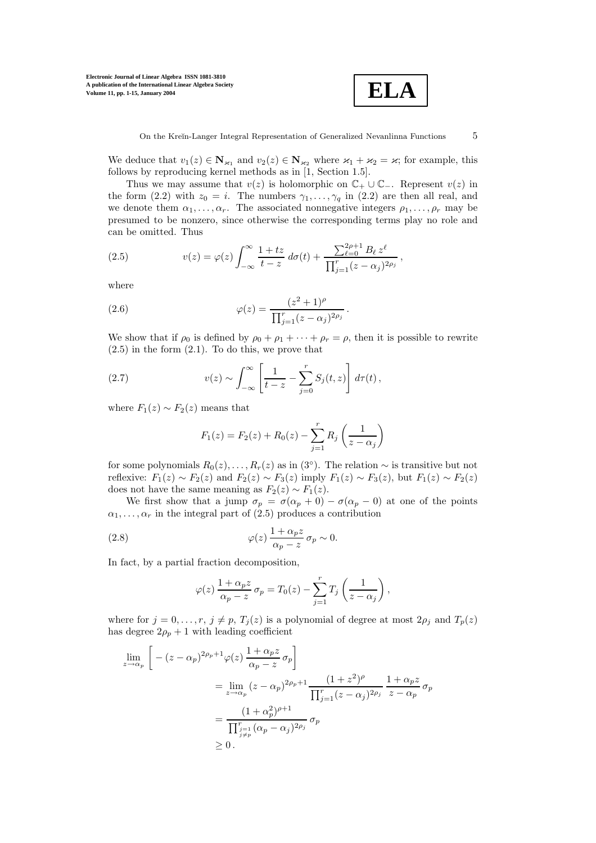

We deduce that  $v_1(z) \in \mathbb{N}_{\varkappa_1}$  and  $v_2(z) \in \mathbb{N}_{\varkappa_2}$  where  $\varkappa_1 + \varkappa_2 = \varkappa$ ; for example, this follows by reproducing kernel methods as in [1, Section 1.5].

Thus we may assume that  $v(z)$  is holomorphic on  $\mathbb{C}_+ \cup \mathbb{C}_-$ . Represent  $v(z)$  in the form (2.2) with  $z_0 = i$ . The numbers  $\gamma_1, \ldots, \gamma_q$  in (2.2) are then all real, and we denote them  $\alpha_1, \ldots, \alpha_r$ . The associated nonnegative integers  $\rho_1, \ldots, \rho_r$  may be presumed to be nonzero, since otherwise the corresponding terms play no role and can be omitted. Thus

(2.5) 
$$
v(z) = \varphi(z) \int_{-\infty}^{\infty} \frac{1 + tz}{t - z} d\sigma(t) + \frac{\sum_{\ell=0}^{2\rho+1} B_{\ell} z^{\ell}}{\prod_{j=1}^{r} (z - \alpha_j)^{2\rho_j}},
$$

where

(2.6) 
$$
\varphi(z) = \frac{(z^2 + 1)^{\rho}}{\prod_{j=1}^{r} (z - \alpha_j)^{2\rho_j}}.
$$

We show that if  $\rho_0$  is defined by  $\rho_0 + \rho_1 + \cdots + \rho_r = \rho$ , then it is possible to rewrite  $(2.5)$  in the form  $(2.1)$ . To do this, we prove that

(2.7) 
$$
v(z) \sim \int_{-\infty}^{\infty} \left[ \frac{1}{t-z} - \sum_{j=0}^{r} S_j(t,z) \right] d\tau(t),
$$

where  $F_1(z) \sim F_2(z)$  means that

$$
F_1(z) = F_2(z) + R_0(z) - \sum_{j=1}^{r} R_j \left(\frac{1}{z - \alpha_j}\right)
$$

for some polynomials  $R_0(z),...,R_r(z)$  as in  $(3°)$ . The relation  $\sim$  is transitive but not reflexive:  $F_1(z) \sim F_2(z)$  and  $F_2(z) \sim F_3(z)$  imply  $F_1(z) \sim F_3(z)$ , but  $F_1(z) \sim F_2(z)$ does not have the same meaning as  $F_2(z) \sim F_1(z)$ .

We first show that a jump  $\sigma_p = \sigma(\alpha_p + 0) - \sigma(\alpha_p - 0)$  at one of the points  $\alpha_1, \ldots, \alpha_r$  in the integral part of (2.5) produces a contribution

(2.8) 
$$
\varphi(z) \frac{1 + \alpha_p z}{\alpha_p - z} \sigma_p \sim 0.
$$

In fact, by a partial fraction decomposition,

$$
\varphi(z) \frac{1 + \alpha_p z}{\alpha_p - z} \sigma_p = T_0(z) - \sum_{j=1}^r T_j \left( \frac{1}{z - \alpha_j} \right),
$$

where for  $j = 0, \ldots, r, j \neq p, T_j(z)$  is a polynomial of degree at most  $2\rho_j$  and  $T_p(z)$ has degree  $2\rho_p + 1$  with leading coefficient

$$
\lim_{z \to \alpha_p} \left[ -(z - \alpha_p)^{2\rho_p + 1} \varphi(z) \frac{1 + \alpha_p z}{\alpha_p - z} \sigma_p \right]
$$
\n
$$
= \lim_{z \to \alpha_p} (z - \alpha_p)^{2\rho_p + 1} \frac{(1 + z^2)^\rho}{\prod_{j=1}^r (z - \alpha_j)^{2\rho_j}} \frac{1 + \alpha_p z}{z - \alpha_p} \sigma_p
$$
\n
$$
= \frac{(1 + \alpha_p^2)^{\rho + 1}}{\prod_{\substack{j=1 \ j \neq p}}^{r_{j=1}} (\alpha_p - \alpha_j)^{2\rho_j}} \sigma_p
$$
\n
$$
\geq 0.
$$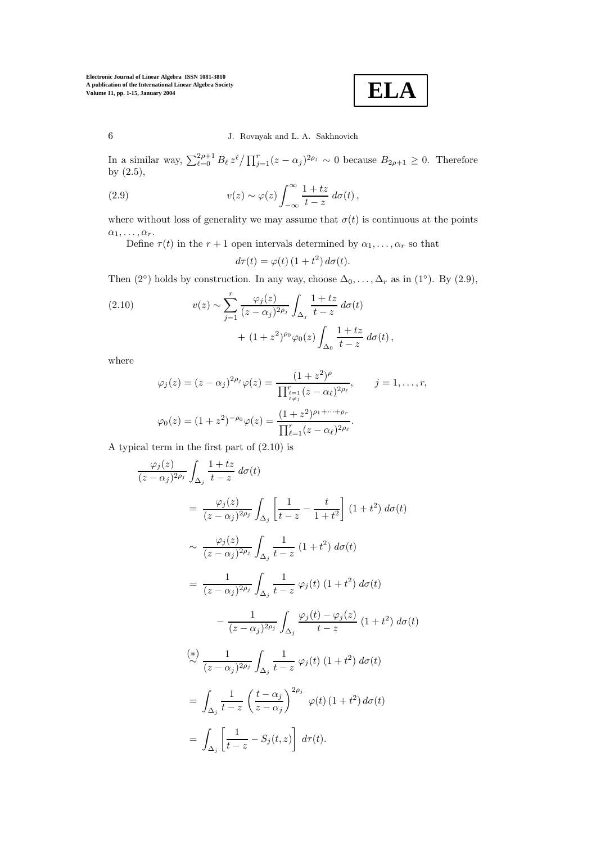**ELA**

In a similar way,  $\sum_{\ell=0}^{2\rho+1} B_{\ell} z^{\ell} / \prod_{j=1}^{r} (z - \alpha_j)^{2\rho_j} \sim 0$  because  $B_{2\rho+1} \geq 0$ . Therefore by (2.5),

(2.9) 
$$
v(z) \sim \varphi(z) \int_{-\infty}^{\infty} \frac{1+tz}{t-z} d\sigma(t),
$$

where without loss of generality we may assume that  $\sigma(t)$  is continuous at the points  $\alpha_1,\ldots,\alpha_r.$ 

Define  $\tau(t)$  in the  $r + 1$  open intervals determined by  $\alpha_1, \ldots, \alpha_r$  so that

$$
d\tau(t) = \varphi(t) \left(1 + t^2\right) d\sigma(t).
$$

Then (2°) holds by construction. In any way, choose  $\Delta_0, \ldots, \Delta_r$  as in (1°). By (2.9),

(2.10) 
$$
v(z) \sim \sum_{j=1}^{r} \frac{\varphi_j(z)}{(z - \alpha_j)^{2\rho_j}} \int_{\Delta_j} \frac{1 + tz}{t - z} d\sigma(t) + (1 + z^2)^{\rho_0} \varphi_0(z) \int_{\Delta_0} \frac{1 + tz}{t - z} d\sigma(t),
$$

where

$$
\varphi_j(z) = (z - \alpha_j)^{2\rho_j} \varphi(z) = \frac{(1 + z^2)^{\rho}}{\prod_{\ell \neq j}^{r_{\ell-1}} (z - \alpha_{\ell})^{2\rho_{\ell}}}, \qquad j = 1, \dots, r,
$$
  

$$
\varphi_0(z) = (1 + z^2)^{-\rho_0} \varphi(z) = \frac{(1 + z^2)^{\rho_1 + \dots + \rho_r}}{\prod_{\ell=1}^r (z - \alpha_{\ell})^{2\rho_{\ell}}}.
$$

A typical term in the first part of (2.10) is

$$
\frac{\varphi_j(z)}{(z-\alpha_j)^{2\rho_j}} \int_{\Delta_j} \frac{1+tz}{t-z} d\sigma(t)
$$
\n
$$
= \frac{\varphi_j(z)}{(z-\alpha_j)^{2\rho_j}} \int_{\Delta_j} \left[ \frac{1}{t-z} - \frac{t}{1+t^2} \right] (1+t^2) d\sigma(t)
$$
\n
$$
\sim \frac{\varphi_j(z)}{(z-\alpha_j)^{2\rho_j}} \int_{\Delta_j} \frac{1}{t-z} (1+t^2) d\sigma(t)
$$
\n
$$
= \frac{1}{(z-\alpha_j)^{2\rho_j}} \int_{\Delta_j} \frac{1}{t-z} \varphi_j(t) (1+t^2) d\sigma(t)
$$
\n
$$
- \frac{1}{(z-\alpha_j)^{2\rho_j}} \int_{\Delta_j} \frac{\varphi_j(t) - \varphi_j(z)}{t-z} (1+t^2) d\sigma(t)
$$
\n
$$
\stackrel{(*)}{\sim} \frac{1}{(z-\alpha_j)^{2\rho_j}} \int_{\Delta_j} \frac{1}{t-z} \varphi_j(t) (1+t^2) d\sigma(t)
$$
\n
$$
= \int_{\Delta_j} \frac{1}{t-z} \left( \frac{t-\alpha_j}{z-\alpha_j} \right)^{2\rho_j} \varphi(t) (1+t^2) d\sigma(t)
$$
\n
$$
= \int_{\Delta_j} \left[ \frac{1}{t-z} - S_j(t,z) \right] d\tau(t).
$$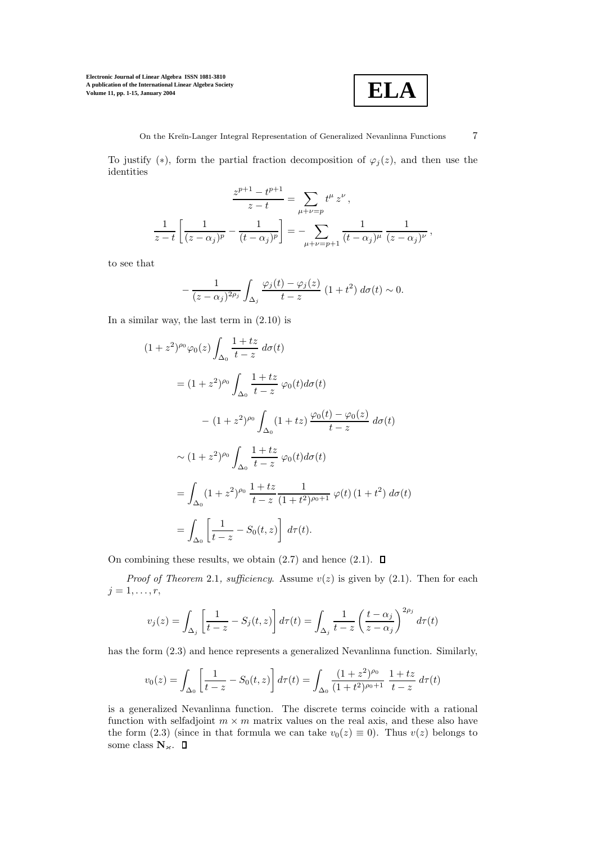

To justify (\*), form the partial fraction decomposition of  $\varphi_j(z)$ , and then use the identities

$$
\frac{z^{p+1} - t^{p+1}}{z - t} = \sum_{\mu + \nu = p} t^{\mu} z^{\nu},
$$
  

$$
\frac{1}{z - t} \left[ \frac{1}{(z - \alpha_j)^p} - \frac{1}{(t - \alpha_j)^p} \right] = - \sum_{\mu + \nu = p+1} \frac{1}{(t - \alpha_j)^{\mu}} \frac{1}{(z - \alpha_j)^{\nu}},
$$

to see that

$$
-\frac{1}{(z-\alpha_j)^{2\rho_j}}\int_{\Delta_j}\frac{\varphi_j(t)-\varphi_j(z)}{t-z}\left(1+t^2\right)d\sigma(t)\sim 0.
$$

In a similar way, the last term in (2.10) is

$$
(1 + z2)\rho_0 \varphi_0(z) \int_{\Delta_0} \frac{1 + tz}{t - z} d\sigma(t)
$$
  
=  $(1 + z2)\rho_0 \int_{\Delta_0} \frac{1 + tz}{t - z} \varphi_0(t) d\sigma(t)$   
 $- (1 + z2)\rho_0 \int_{\Delta_0} (1 + tz) \frac{\varphi_0(t) - \varphi_0(z)}{t - z} d\sigma(t)$   
 $\sim (1 + z2)\rho_0 \int_{\Delta_0} \frac{1 + tz}{t - z} \varphi_0(t) d\sigma(t)$   
=  $\int_{\Delta_0} (1 + z2)\rho_0 \frac{1 + tz}{t - z} \frac{1}{(1 + t2)\rho_0+1} \varphi(t) (1 + t2) d\sigma(t)$   
=  $\int_{\Delta_0} \left[ \frac{1}{t - z} - S_0(t, z) \right] d\tau(t).$ 

On combining these results, we obtain  $(2.7)$  and hence  $(2.1)$ .  $\square$ 

*Proof of Theorem 2.1, sufficiency.* Assume  $v(z)$  is given by (2.1). Then for each  $j=1,\ldots,r,$ 

$$
v_j(z) = \int_{\Delta_j} \left[ \frac{1}{t-z} - S_j(t,z) \right] d\tau(t) = \int_{\Delta_j} \frac{1}{t-z} \left( \frac{t-\alpha_j}{z-\alpha_j} \right)^{2\rho_j} d\tau(t)
$$

has the form (2.3) and hence represents a generalized Nevanlinna function. Similarly,

$$
v_0(z) = \int_{\Delta_0} \left[ \frac{1}{t - z} - S_0(t, z) \right] d\tau(t) = \int_{\Delta_0} \frac{(1 + z^2)^{\rho_0}}{(1 + t^2)^{\rho_0 + 1}} \frac{1 + tz}{t - z} d\tau(t)
$$

is a generalized Nevanlinna function. The discrete terms coincide with a rational function with selfadjoint  $m \times m$  matrix values on the real axis, and these also have the form (2.3) (since in that formula we can take  $v_0(z) \equiv 0$ ). Thus  $v(z)$  belongs to some class  $N_{\kappa}$ .  $\square$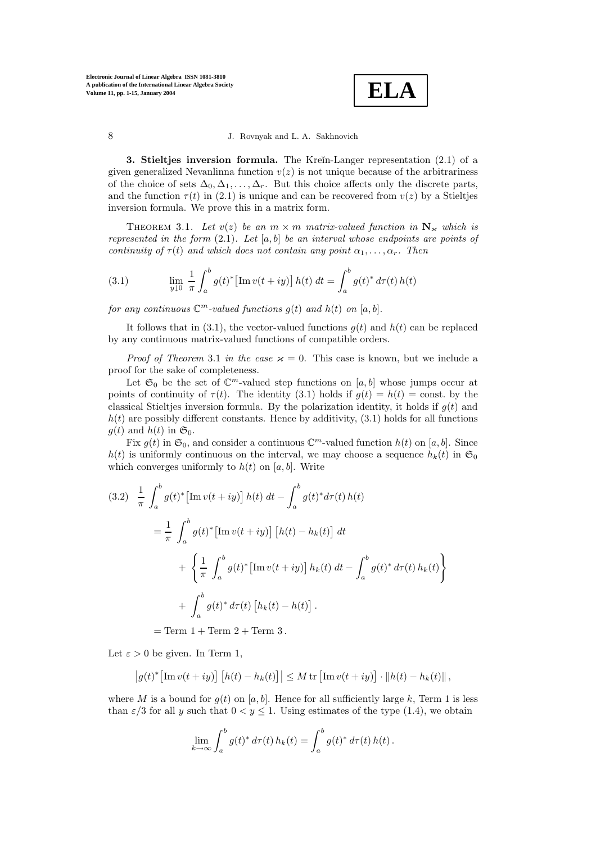

**3. Stieltjes inversion formula.** The Kreĭn-Langer representation (2.1) of a given generalized Nevanlinna function  $v(z)$  is not unique because of the arbitrariness of the choice of sets  $\Delta_0, \Delta_1, \ldots, \Delta_r$ . But this choice affects only the discrete parts, and the function  $\tau(t)$  in (2.1) is unique and can be recovered from  $v(z)$  by a Stieltjes inversion formula. We prove this in a matrix form.

THEOREM 3.1. Let  $v(z)$  be an  $m \times m$  matrix-valued function in  $N_{\kappa}$  which is represented in the form  $(2,1)$ . Let [a, b] be an interval whose endpoints are points of continuity of  $\tau(t)$  and which does not contain any point  $\alpha_1, \ldots, \alpha_r$ . Then

(3.1) 
$$
\lim_{y \downarrow 0} \frac{1}{\pi} \int_a^b g(t)^* \left[ \text{Im } v(t+iy) \right] h(t) dt = \int_a^b g(t)^* d\tau(t) h(t)
$$

for any continuous  $\mathbb{C}^m$ -valued functions  $g(t)$  and  $h(t)$  on [a, b].

It follows that in (3.1), the vector-valued functions  $g(t)$  and  $h(t)$  can be replaced by any continuous matrix-valued functions of compatible orders.

*Proof of Theorem 3.1 in the case*  $\varkappa = 0$ . This case is known, but we include a proof for the sake of completeness.

Let  $\mathfrak{S}_0$  be the set of  $\mathbb{C}^m$ -valued step functions on [a, b] whose jumps occur at points of continuity of  $\tau(t)$ . The identity (3.1) holds if  $g(t) = h(t) = \text{const.}$  by the classical Stieltjes inversion formula. By the polarization identity, it holds if  $g(t)$  and  $h(t)$  are possibly different constants. Hence by additivity,  $(3.1)$  holds for all functions  $g(t)$  and  $h(t)$  in  $\mathfrak{S}_0$ .

Fix  $g(t)$  in  $\mathfrak{S}_0$ , and consider a continuous  $\mathbb{C}^m$ -valued function  $h(t)$  on [a, b]. Since  $h(t)$  is uniformly continuous on the interval, we may choose a sequence  $h_k(t)$  in  $\mathfrak{S}_0$ which converges uniformly to  $h(t)$  on [a, b]. Write

$$
(3.2) \frac{1}{\pi} \int_{a}^{b} g(t)^{*} \left[ \text{Im } v(t+iy) \right] h(t) dt - \int_{a}^{b} g(t)^{*} d\tau(t) h(t)
$$
  

$$
= \frac{1}{\pi} \int_{a}^{b} g(t)^{*} \left[ \text{Im } v(t+iy) \right] \left[ h(t) - h_{k}(t) \right] dt
$$
  

$$
+ \left\{ \frac{1}{\pi} \int_{a}^{b} g(t)^{*} \left[ \text{Im } v(t+iy) \right] h_{k}(t) dt - \int_{a}^{b} g(t)^{*} d\tau(t) h_{k}(t) \right\}
$$
  

$$
+ \int_{a}^{b} g(t)^{*} d\tau(t) \left[ h_{k}(t) - h(t) \right].
$$

 $=$  Term  $1 +$  Term  $2 +$  Term  $3$ .

Let  $\varepsilon > 0$  be given. In Term 1,

$$
\left|g(t)^*\big[\mathrm{Im}\,v(t+iy)\big]\left[h(t)-h_k(t)\right]\right|\leq M\,\mathrm{tr}\left[\mathrm{Im}\,v(t+iy)\right]\cdot\left\|h(t)-h_k(t)\right\|,
$$

where M is a bound for  $g(t)$  on [a, b]. Hence for all sufficiently large k, Term 1 is less than  $\varepsilon/3$  for all y such that  $0 < y \le 1$ . Using estimates of the type (1.4), we obtain

$$
\lim_{k \to \infty} \int_a^b g(t)^* d\tau(t) h_k(t) = \int_a^b g(t)^* d\tau(t) h(t).
$$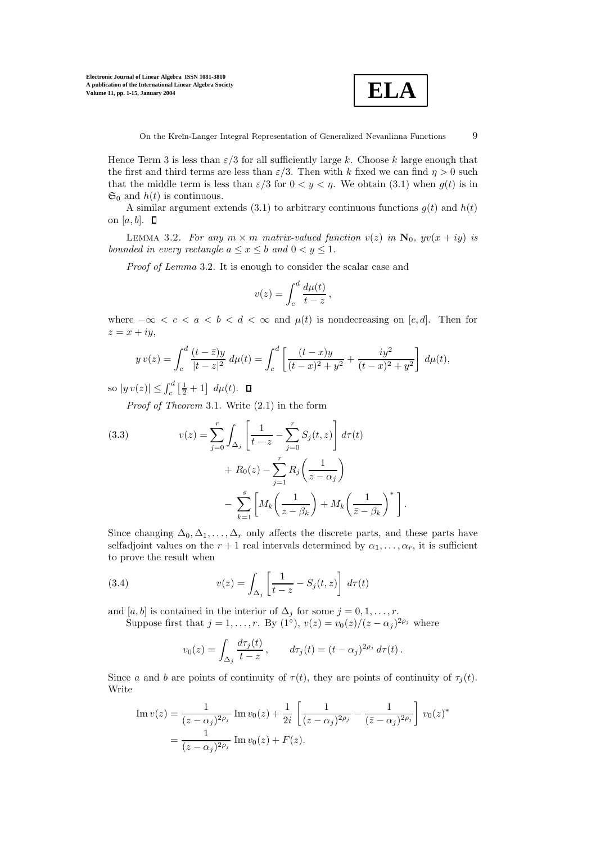

.

Hence Term 3 is less than  $\varepsilon/3$  for all sufficiently large k. Choose k large enough that the first and third terms are less than  $\varepsilon/3$ . Then with k fixed we can find  $\eta > 0$  such that the middle term is less than  $\varepsilon/3$  for  $0 < y < \eta$ . We obtain (3.1) when  $g(t)$  is in  $\mathfrak{S}_0$  and  $h(t)$  is continuous.

A similar argument extends (3.1) to arbitrary continuous functions  $q(t)$  and  $h(t)$ on [a, b].  $\Box$ 

LEMMA 3.2. For any  $m \times m$  matrix-valued function  $v(z)$  in  $\mathbf{N}_0$ ,  $yv(x + iy)$  is bounded in every rectangle  $a \leq x \leq b$  and  $0 \leq y \leq 1$ .

Proof of Lemma 3.2. It is enough to consider the scalar case and

$$
v(z) = \int_c^d \frac{d\mu(t)}{t - z},
$$

where  $-\infty < c < a < b < d < \infty$  and  $\mu(t)$  is nondecreasing on [c, d]. Then for  $z = x + iy,$ 

$$
y v(z) = \int_c^d \frac{(t - \bar{z})y}{|t - z|^2} d\mu(t) = \int_c^d \left[ \frac{(t - x)y}{(t - x)^2 + y^2} + \frac{iy^2}{(t - x)^2 + y^2} \right] d\mu(t),
$$

so  $|y v(z)| \leq \int_c^d \left[\frac{1}{2} + 1\right] d\mu(t)$ .

Proof of Theorem 3.1. Write (2.1) in the form

(3.3) 
$$
v(z) = \sum_{j=0}^{r} \int_{\Delta_j} \left[ \frac{1}{t-z} - \sum_{j=0}^{r} S_j(t, z) \right] d\tau(t) + R_0(z) - \sum_{j=1}^{r} R_j \left( \frac{1}{z - \alpha_j} \right) - \sum_{k=1}^{s} \left[ M_k \left( \frac{1}{z - \beta_k} \right) + M_k \left( \frac{1}{\overline{z} - \beta_k} \right)^* \right]
$$

Since changing  $\Delta_0, \Delta_1, \ldots, \Delta_r$  only affects the discrete parts, and these parts have selfadjoint values on the  $r + 1$  real intervals determined by  $\alpha_1, \ldots, \alpha_r$ , it is sufficient to prove the result when

(3.4) 
$$
v(z) = \int_{\Delta_j} \left[ \frac{1}{t-z} - S_j(t,z) \right] d\tau(t)
$$

and [a, b] is contained in the interior of  $\Delta_i$  for some  $j = 0, 1, \ldots, r$ .

Suppose first that  $j = 1, \ldots, r$ . By  $(1<sup>°</sup>), v(z) = v<sub>0</sub>(z)/(z - \alpha<sub>j</sub>)<sup>2\rho<sub>j</sub></sup>$  where

$$
v_0(z) = \int_{\Delta_j} \frac{d\tau_j(t)}{t-z}, \qquad d\tau_j(t) = (t-\alpha_j)^{2\rho_j} d\tau(t).
$$

Since a and b are points of continuity of  $\tau(t)$ , they are points of continuity of  $\tau_i(t)$ . Write

Im 
$$
v(z) = \frac{1}{(z - \alpha_j)^{2\rho_j}} \operatorname{Im} v_0(z) + \frac{1}{2i} \left[ \frac{1}{(z - \alpha_j)^{2\rho_j}} - \frac{1}{(\bar{z} - \alpha_j)^{2\rho_j}} \right] v_0(z)^*
$$
  
=  $\frac{1}{(z - \alpha_j)^{2\rho_j}} \operatorname{Im} v_0(z) + F(z).$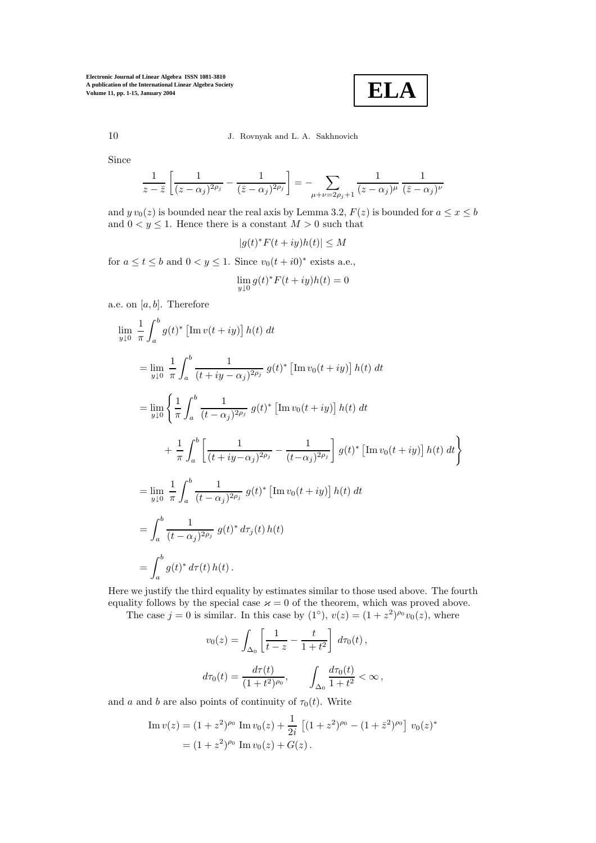**ELA**

## 10 J. Rovnyak and L. A. Sakhnovich

Since

$$
\frac{1}{z-\bar{z}}\left[\frac{1}{(z-\alpha_j)^{2\rho_j}}-\frac{1}{(\bar{z}-\alpha_j)^{2\rho_j}}\right]=-\sum_{\mu+\nu=2\rho_j+1}\frac{1}{(z-\alpha_j)^\mu}\frac{1}{(\bar{z}-\alpha_j)^\nu}
$$

and  $y v_0(z)$  is bounded near the real axis by Lemma 3.2,  $F(z)$  is bounded for  $a \le x \le b$ and  $0 < y \leq 1$ . Hence there is a constant  $M > 0$  such that

$$
|g(t)^*F(t+iy)h(t)| \le M
$$

for  $a \le t \le b$  and  $0 < y \le 1$ . Since  $v_0(t + i0)^*$  exists a.e.,

$$
\lim_{y \downarrow 0} g(t)^* F(t+iy)h(t) = 0
$$

a.e. on  $[a, b]$ . Therefore

$$
\lim_{y \downarrow 0} \frac{1}{\pi} \int_{a}^{b} g(t)^{*} \left[ \text{Im} \, v(t+iy) \right] h(t) dt
$$
\n
$$
= \lim_{y \downarrow 0} \frac{1}{\pi} \int_{a}^{b} \frac{1}{(t+iy-\alpha_{j})^{2\rho_{j}}} g(t)^{*} \left[ \text{Im} \, v_{0}(t+iy) \right] h(t) dt
$$
\n
$$
= \lim_{y \downarrow 0} \left\{ \frac{1}{\pi} \int_{a}^{b} \frac{1}{(t-\alpha_{j})^{2\rho_{j}}} g(t)^{*} \left[ \text{Im} \, v_{0}(t+iy) \right] h(t) dt + \frac{1}{\pi} \int_{a}^{b} \left[ \frac{1}{(t+iy-\alpha_{j})^{2\rho_{j}}} - \frac{1}{(t-\alpha_{j})^{2\rho_{j}}} \right] g(t)^{*} \left[ \text{Im} \, v_{0}(t+iy) \right] h(t) dt \right\}
$$
\n
$$
= \lim_{y \downarrow 0} \frac{1}{\pi} \int_{a}^{b} \frac{1}{(t-\alpha_{j})^{2\rho_{j}}} g(t)^{*} \left[ \text{Im} \, v_{0}(t+iy) \right] h(t) dt
$$
\n
$$
= \int_{a}^{b} \frac{1}{(t-\alpha_{j})^{2\rho_{j}}} g(t)^{*} d\tau_{j}(t) h(t)
$$
\n
$$
= \int_{a}^{b} g(t)^{*} d\tau(t) h(t).
$$

Here we justify the third equality by estimates similar to those used above. The fourth equality follows by the special case  $\varkappa = 0$  of the theorem, which was proved above.

The case  $j = 0$  is similar. In this case by  $(1<sup>°</sup>), v(z) = (1 + z<sup>2</sup>)<sup>p<sub>0</sub></sup>v<sub>0</sub>(z)$ , where

$$
v_0(z) = \int_{\Delta_0} \left[ \frac{1}{t - z} - \frac{t}{1 + t^2} \right] d\tau_0(t),
$$
  

$$
d\tau_0(t) = \frac{d\tau(t)}{(1 + t^2)^{\rho_0}}, \qquad \int_{\Delta_0} \frac{d\tau_0(t)}{1 + t^2} < \infty,
$$

and a and b are also points of continuity of  $\tau_0(t)$ . Write

Im 
$$
v(z) = (1 + z^2)^{\rho_0} \text{ Im } v_0(z) + \frac{1}{2i} [(1 + z^2)^{\rho_0} - (1 + \bar{z}^2)^{\rho_0}] v_0(z)^*
$$
  
=  $(1 + z^2)^{\rho_0} \text{ Im } v_0(z) + G(z)$ .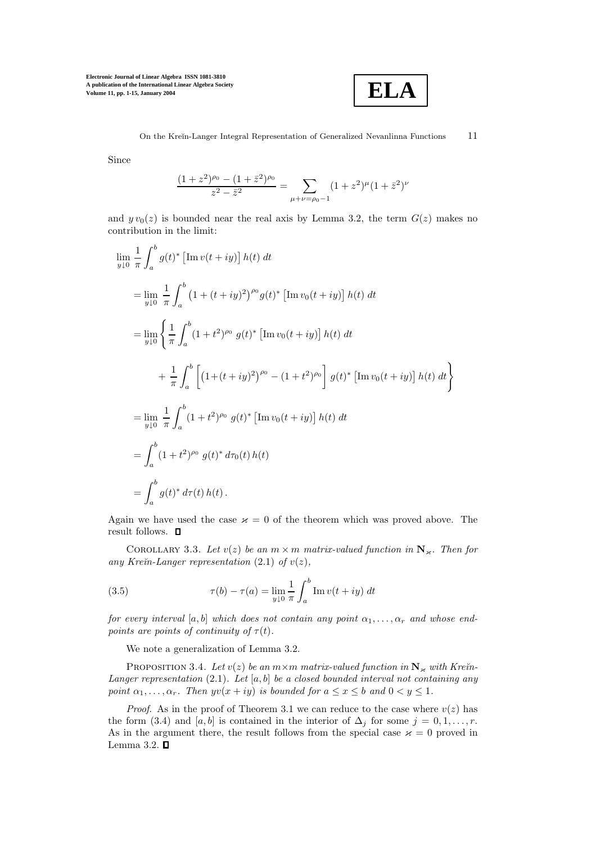

Since

$$
\frac{(1+z^2)^{\rho_0} - (1+\bar{z}^2)^{\rho_0}}{z^2 - \bar{z}^2} = \sum_{\mu+\nu=\rho_0-1} (1+z^2)^{\mu} (1+\bar{z}^2)^{\nu}
$$

and  $y v_0(z)$  is bounded near the real axis by Lemma 3.2, the term  $G(z)$  makes no contribution in the limit:

$$
\lim_{y \downarrow 0} \frac{1}{\pi} \int_{a}^{b} g(t)^{*} \left[ \text{Im} \, v(t+iy) \right] h(t) dt
$$
\n
$$
= \lim_{y \downarrow 0} \frac{1}{\pi} \int_{a}^{b} \left( 1 + (t+iy)^{2} \right)^{\rho_{0}} g(t)^{*} \left[ \text{Im} \, v_{0}(t+iy) \right] h(t) dt
$$
\n
$$
= \lim_{y \downarrow 0} \left\{ \frac{1}{\pi} \int_{a}^{b} (1+t^{2})^{\rho_{0}} g(t)^{*} \left[ \text{Im} \, v_{0}(t+iy) \right] h(t) dt + \frac{1}{\pi} \int_{a}^{b} \left[ \left( 1 + (t+iy)^{2} \right)^{\rho_{0}} - (1+t^{2})^{\rho_{0}} \right] g(t)^{*} \left[ \text{Im} \, v_{0}(t+iy) \right] h(t) dt \right\}
$$
\n
$$
= \lim_{y \downarrow 0} \frac{1}{\pi} \int_{a}^{b} (1+t^{2})^{\rho_{0}} g(t)^{*} \left[ \text{Im} \, v_{0}(t+iy) \right] h(t) dt
$$
\n
$$
= \int_{a}^{b} (1+t^{2})^{\rho_{0}} g(t)^{*} d\tau_{0}(t) h(t)
$$
\n
$$
= \int_{a}^{b} g(t)^{*} d\tau(t) h(t).
$$

Again we have used the case  $\varkappa = 0$  of the theorem which was proved above. The result follows.  $\quad \blacksquare$ 

COROLLARY 3.3. Let  $v(z)$  be an  $m \times m$  matrix-valued function in  $\mathbb{N}_{\varkappa}$ . Then for any Kreïn-Langer representation  $(2.1)$  of  $v(z)$ ,

(3.5) 
$$
\tau(b) - \tau(a) = \lim_{y \downarrow 0} \frac{1}{\pi} \int_{a}^{b} \text{Im } v(t + iy) dt
$$

for every interval [a, b] which does not contain any point  $\alpha_1, \ldots, \alpha_r$  and whose endpoints are points of continuity of  $\tau(t)$ .

We note a generalization of Lemma 3.2.

PROPOSITION 3.4. Let  $v(z)$  be an  $m \times m$  matrix-valued function in  $N_{\kappa}$  with Kre $\check{n}$ -Langer representation  $(2.1)$ . Let  $[a, b]$  be a closed bounded interval not containing any point  $\alpha_1, \ldots, \alpha_r$ . Then  $yv(x+iy)$  is bounded for  $a \leq x \leq b$  and  $0 < y \leq 1$ .

*Proof.* As in the proof of Theorem 3.1 we can reduce to the case where  $v(z)$  has the form (3.4) and [a, b] is contained in the interior of  $\Delta_j$  for some  $j = 0, 1, \ldots, r$ . As in the argument there, the result follows from the special case  $\varkappa = 0$  proved in Lemma 3.2.  $\square$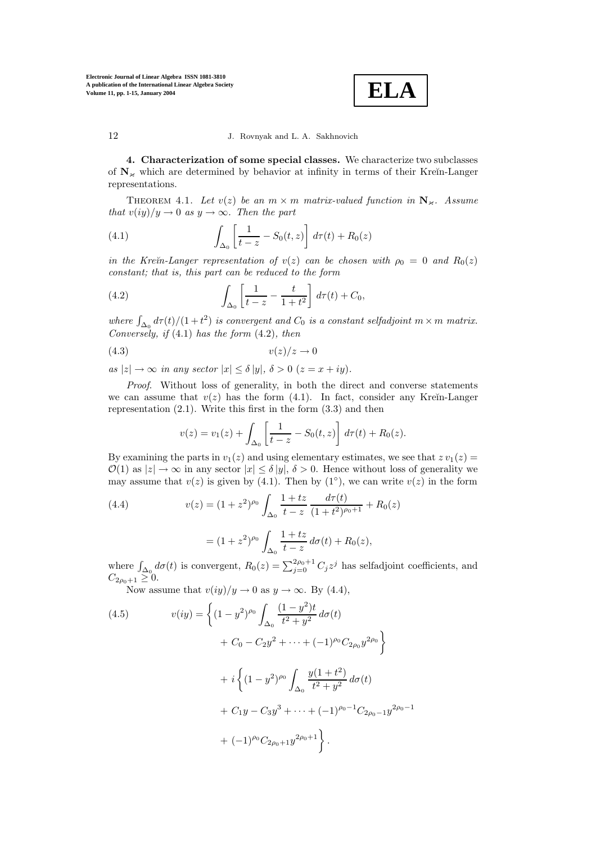

**4. Characterization of some special classes.** We characterize two subclasses of  $N_k$  which are determined by behavior at infinity in terms of their Kreĭn-Langer representations.

THEOREM 4.1. Let  $v(z)$  be an  $m \times m$  matrix-valued function in  $N_{\kappa}$ . Assume that  $v(iy)/y \to 0$  as  $y \to \infty$ . Then the part

(4.1) 
$$
\int_{\Delta_0} \left[ \frac{1}{t-z} - S_0(t,z) \right] d\tau(t) + R_0(z)
$$

in the Kre $\tilde{m}$ -Langer representation of  $v(z)$  can be chosen with  $\rho_0 = 0$  and  $R_0(z)$ constant; that is, this part can be reduced to the form

(4.2) 
$$
\int_{\Delta_0} \left[ \frac{1}{t-z} - \frac{t}{1+t^2} \right] d\tau(t) + C_0,
$$

where  $\int_{\Delta_0} d\tau(t)/(1+t^2)$  is convergent and  $C_0$  is a constant selfadjoint  $m \times m$  matrix. Conversely, if  $(4.1)$  has the form  $(4.2)$ , then

$$
(4.3) \t v(z)/z \to 0
$$

as  $|z|\rightarrow\infty$  in any sector  $|x| \leq \delta |y|$ ,  $\delta > 0$   $(z = x + iy)$ .

Proof. Without loss of generality, in both the direct and converse statements we can assume that  $v(z)$  has the form (4.1). In fact, consider any Kreĭn-Langer representation  $(2.1)$ . Write this first in the form  $(3.3)$  and then

$$
v(z) = v_1(z) + \int_{\Delta_0} \left[ \frac{1}{t - z} - S_0(t, z) \right] d\tau(t) + R_0(z).
$$

By examining the parts in  $v_1(z)$  and using elementary estimates, we see that  $z v_1(z) =$  $\mathcal{O}(1)$  as  $|z| \to \infty$  in any sector  $|x| < \delta |y|$ ,  $\delta > 0$ . Hence without loss of generality we may assume that  $v(z)$  is given by (4.1). Then by (1<sup>°</sup>), we can write  $v(z)$  in the form

(4.4) 
$$
v(z) = (1+z^2)^{\rho_0} \int_{\Delta_0} \frac{1+tz}{t-z} \frac{d\tau(t)}{(1+t^2)^{\rho_0+1}} + R_0(z)
$$

$$
= (1+z^2)^{\rho_0} \int_{\Delta_0} \frac{1+tz}{t-z} d\sigma(t) + R_0(z),
$$

where  $\int_{\Delta_0} d\sigma(t)$  is convergent,  $R_0(z) = \sum_{j=0}^{2\rho_0+1} C_j z^j$  has selfadjoint coefficients, and  $C_{2\rho_0+1}\geq 0.$ 

Now assume that  $v(iy)/y \to 0$  as  $y \to \infty$ . By (4.4),

(4.5) 
$$
v(iy) = \left\{ (1 - y^2)^{\rho_0} \int_{\Delta_0} \frac{(1 - y^2)t}{t^2 + y^2} d\sigma(t) + C_0 - C_2 y^2 + \dots + (-1)^{\rho_0} C_{2\rho_0} y^{2\rho_0} \right\} + i \left\{ (1 - y^2)^{\rho_0} \int_{\Delta_0} \frac{y(1 + t^2)}{t^2 + y^2} d\sigma(t) + C_1 y - C_3 y^3 + \dots + (-1)^{\rho_0 - 1} C_{2\rho_0 - 1} y^{2\rho_0 - 1} + (-1)^{\rho_0} C_{2\rho_0 + 1} y^{2\rho_0 + 1} \right\}.
$$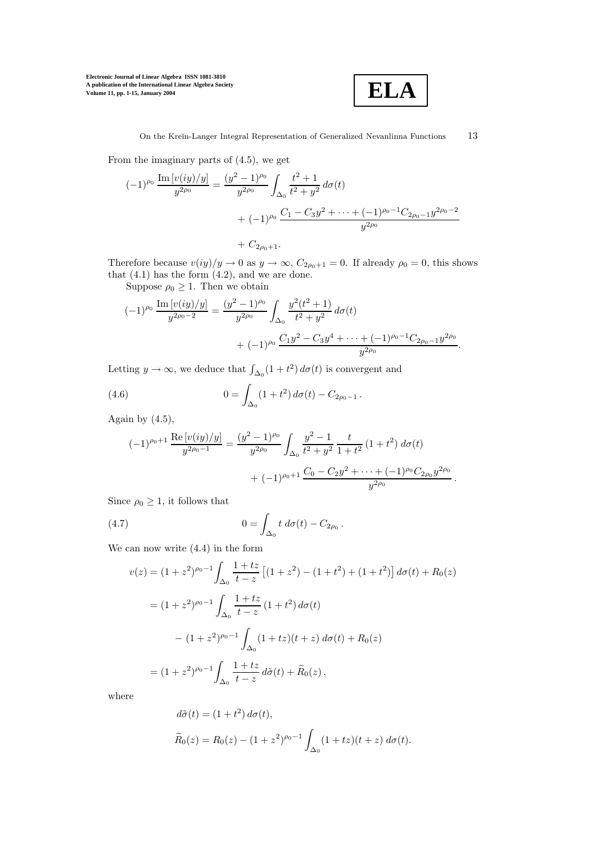

From the imaginary parts of (4.5), we get

$$
(-1)^{\rho_0} \frac{\operatorname{Im} [v(iy)/y]}{y^{2\rho_0}} = \frac{(y^2 - 1)^{\rho_0}}{y^{2\rho_0}} \int_{\Delta_0} \frac{t^2 + 1}{t^2 + y^2} d\sigma(t)
$$
  
+  $(-1)^{\rho_0} \frac{C_1 - C_3 y^2 + \dots + (-1)^{\rho_0 - 1} C_{2\rho_0 - 1} y^{2\rho_0 - 2}}{y^{2\rho_0}}$   
+  $C_{2\rho_0 + 1}$ .

Therefore because  $v(iy)/y \to 0$  as  $y \to \infty$ ,  $C_{2\rho_0+1} = 0$ . If already  $\rho_0 = 0$ , this shows that  $(4.1)$  has the form  $(4.2)$ , and we are done.

Suppose  $\rho_0 \geq 1$ . Then we obtain

$$
(-1)^{\rho_0} \frac{\operatorname{Im} [v(iy)/y]}{y^{2\rho_0 - 2}} = \frac{(y^2 - 1)^{\rho_0}}{y^{2\rho_0}} \int_{\Delta_0} \frac{y^2(t^2 + 1)}{t^2 + y^2} d\sigma(t) + (-1)^{\rho_0} \frac{C_1 y^2 - C_3 y^4 + \dots + (-1)^{\rho_0 - 1} C_{2\rho_0 - 1} y^{2\rho_0}}{y^{2\rho_0}}.
$$

Letting  $y \to \infty$ , we deduce that  $\int_{\Delta_0} (1 + t^2) d\sigma(t)$  is convergent and

(4.6) 
$$
0 = \int_{\Delta_0} (1 + t^2) d\sigma(t) - C_{2\rho_0 - 1}.
$$

Again by  $(4.5)$ ,

$$
(-1)^{\rho_0+1} \frac{\text{Re} [v(iy)/y]}{y^{2\rho_0-1}} = \frac{(y^2-1)^{\rho_0}}{y^{2\rho_0}} \int_{\Delta_0} \frac{y^2-1}{t^2+y^2} \frac{t}{1+t^2} (1+t^2) d\sigma(t) + (-1)^{\rho_0+1} \frac{C_0-C_2y^2+\cdots+(-1)^{\rho_0}C_{2\rho_0}y^{2\rho_0}}{y^{2\rho_0}}.
$$

Since  $\rho_0 \geq 1$ , it follows that

(4.7) 
$$
0 = \int_{\Delta_0} t \, d\sigma(t) - C_{2\rho_0}.
$$

We can now write (4.4) in the form

$$
v(z) = (1 + z2)\rho_0-1 \int_{\Delta_0} \frac{1 + tz}{t - z} [(1 + z2) - (1 + t2) + (1 + t2)] d\sigma(t) + R_0(z)
$$
  

$$
= (1 + z2)\rho_0-1 \int_{\Delta_0} \frac{1 + tz}{t - z} (1 + t2) d\sigma(t)
$$
  

$$
- (1 + z2)\rho_0-1 \int_{\Delta_0} (1 + tz)(t + z) d\sigma(t) + R_0(z)
$$
  

$$
= (1 + z2)\rho_0-1 \int_{\Delta_0} \frac{1 + tz}{t - z} d\tilde{\sigma}(t) + \tilde{R}_0(z),
$$

where

$$
d\tilde{\sigma}(t) = (1+t^2) d\sigma(t),
$$
  
\n
$$
\tilde{R}_0(z) = R_0(z) - (1+z^2)^{\rho_0 - 1} \int_{\Delta_0} (1+tz)(t+z) d\sigma(t).
$$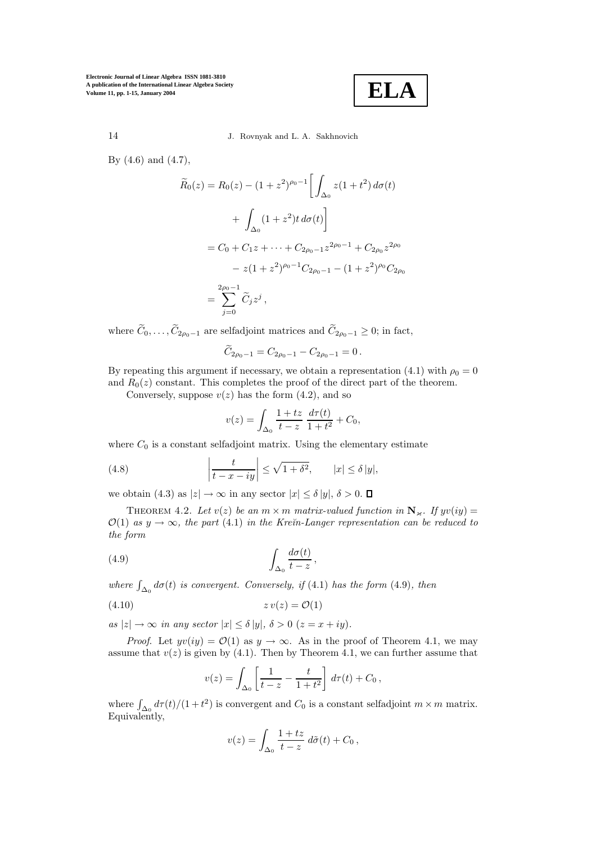**ELA**

14 J. Rovnyak and L. A. Sakhnovich

By (4.6) and (4.7),

$$
\widetilde{R}_0(z) = R_0(z) - (1 + z^2)^{\rho_0 - 1} \left[ \int_{\Delta_0} z(1 + t^2) d\sigma(t) + \int_{\Delta_0} (1 + z^2) t d\sigma(t) \right]
$$

$$
= C_0 + C_1 z + \dots + C_{2\rho_0 - 1} z^{2\rho_0 - 1} + C_{2\rho_0} z^{2\rho_0}
$$

$$
- z(1 + z^2)^{\rho_0 - 1} C_{2\rho_0 - 1} - (1 + z^2)^{\rho_0} C_{2\rho_0}
$$

$$
= \sum_{j=0}^{2\rho_0 - 1} \widetilde{C}_j z^j,
$$

where  $\widetilde{C}_0,\ldots,\widetilde{C}_{2\rho_0-1}$  are selfadjoint matrices and  $\widetilde{C}_{2\rho_0-1}\geq 0$ ; in fact,

$$
\widetilde{C}_{2\rho_0-1} = C_{2\rho_0-1} - C_{2\rho_0-1} = 0.
$$

By repeating this argument if necessary, we obtain a representation (4.1) with  $\rho_0 = 0$ and  $R_0(z)$  constant. This completes the proof of the direct part of the theorem.

Conversely, suppose  $v(z)$  has the form  $(4.2)$ , and so

$$
v(z) = \int_{\Delta_0} \frac{1+tz}{t-z} \, \frac{d\tau(t)}{1+t^2} + C_0,
$$

where  $C_0$  is a constant selfadjoint matrix. Using the elementary estimate

(4.8) 
$$
\left|\frac{t}{t-x-iy}\right| \leq \sqrt{1+\delta^2}, \qquad |x| \leq \delta |y|,
$$

we obtain (4.3) as  $|z| \to \infty$  in any sector  $|x| \le \delta |y|$ ,  $\delta > 0$ .  $\Box$ 

THEOREM 4.2. Let  $v(z)$  be an  $m \times m$  matrix-valued function in  $N_{\kappa}$ . If  $yv(iy) =$  $\mathcal{O}(1)$  as  $y \to \infty$ , the part (4.1) in the Krein-Langer representation can be reduced to the form

(4.9) 
$$
\int_{\Delta_0} \frac{d\sigma(t)}{t-z},
$$

where  $\int_{\Delta_0} d\sigma(t)$  is convergent. Conversely, if (4.1) has the form (4.9), then

$$
(4.10)\t\t\t z\,v(z) = \mathcal{O}(1)
$$

as  $|z| \to \infty$  in any sector  $|x| \le \delta |y|$ ,  $\delta > 0$   $(z = x + iy)$ .

*Proof.* Let  $yv(iy) = \mathcal{O}(1)$  as  $y \to \infty$ . As in the proof of Theorem 4.1, we may assume that  $v(z)$  is given by (4.1). Then by Theorem 4.1, we can further assume that

$$
v(z) = \int_{\Delta_0} \left[ \frac{1}{t - z} - \frac{t}{1 + t^2} \right] d\tau(t) + C_0,
$$

where  $\int_{\Delta_0} d\tau(t)/(1+t^2)$  is convergent and  $C_0$  is a constant selfadjoint  $m \times m$  matrix. Equivalently,

$$
v(z) = \int_{\Delta_0} \frac{1 + tz}{t - z} d\tilde{\sigma}(t) + C_0,
$$